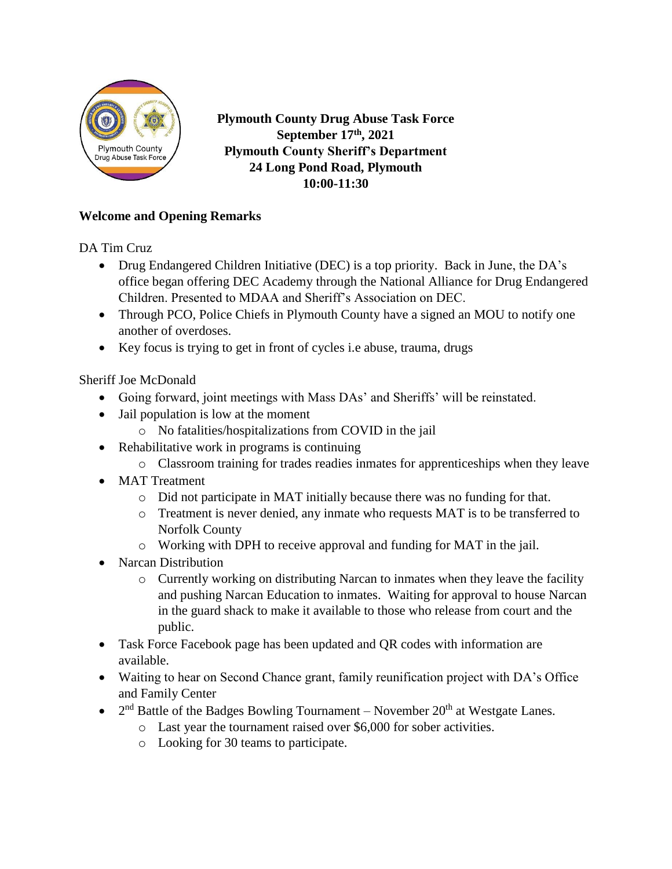

**Plymouth County Drug Abuse Task Force September 17th, 2021 Plymouth County Sheriff's Department 24 Long Pond Road, Plymouth 10:00-11:30**

#### **Welcome and Opening Remarks**

DA Tim Cruz

- Drug Endangered Children Initiative (DEC) is a top priority. Back in June, the DA's office began offering DEC Academy through the National Alliance for Drug Endangered Children. Presented to MDAA and Sheriff's Association on DEC.
- Through PCO, Police Chiefs in Plymouth County have a signed an MOU to notify one another of overdoses.
- Key focus is trying to get in front of cycles i.e abuse, trauma, drugs

Sheriff Joe McDonald

- Going forward, joint meetings with Mass DAs' and Sheriffs' will be reinstated.
- Jail population is low at the moment
	- o No fatalities/hospitalizations from COVID in the jail
- Rehabilitative work in programs is continuing
	- o Classroom training for trades readies inmates for apprenticeships when they leave
- MAT Treatment
	- o Did not participate in MAT initially because there was no funding for that.
	- o Treatment is never denied, any inmate who requests MAT is to be transferred to Norfolk County
	- o Working with DPH to receive approval and funding for MAT in the jail.
- Narcan Distribution
	- o Currently working on distributing Narcan to inmates when they leave the facility and pushing Narcan Education to inmates. Waiting for approval to house Narcan in the guard shack to make it available to those who release from court and the public.
- Task Force Facebook page has been updated and QR codes with information are available.
- Waiting to hear on Second Chance grant, family reunification project with DA's Office and Family Center
- $2<sup>nd</sup>$  Battle of the Badges Bowling Tournament November  $20<sup>th</sup>$  at Westgate Lanes.
	- o Last year the tournament raised over \$6,000 for sober activities.
	- o Looking for 30 teams to participate.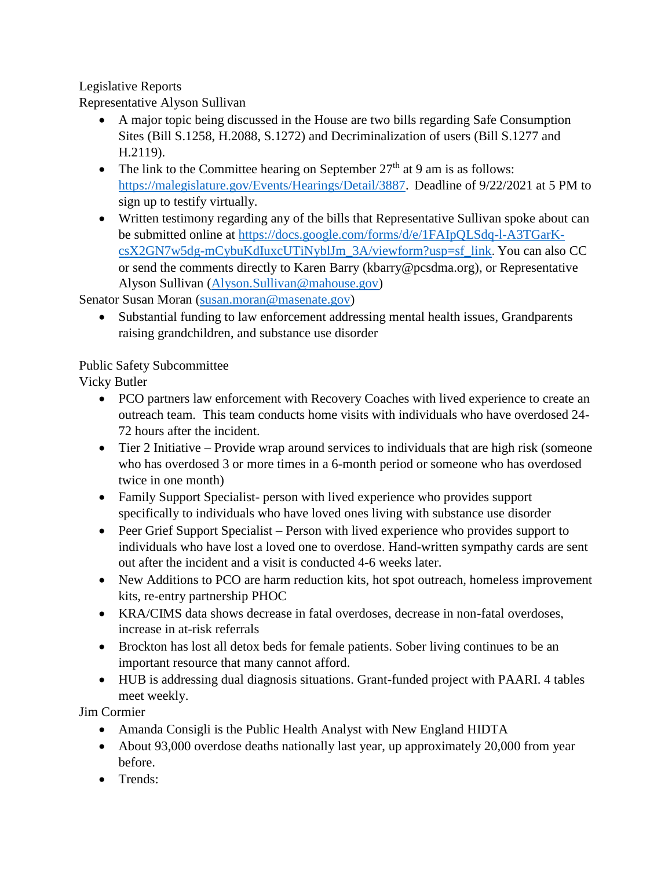### Legislative Reports

Representative Alyson Sullivan

- A major topic being discussed in the House are two bills regarding Safe Consumption Sites (Bill S.1258, H.2088, S.1272) and Decriminalization of users (Bill S.1277 and H.2119).
- The link to the Committee hearing on September  $27<sup>th</sup>$  at 9 am is as follows: [https://malegislature.gov/Events/Hearings/Detail/3887.](https://malegislature.gov/Events/Hearings/Detail/3887) Deadline of 9/22/2021 at 5 PM to sign up to testify virtually.
- Written testimony regarding any of the bills that Representative Sullivan spoke about can be submitted online at [https://docs.google.com/forms/d/e/1FAIpQLSdq-l-A3TGarK](https://docs.google.com/forms/d/e/1FAIpQLSdq-l-A3TGarK-csX2GN7w5dg-mCybuKdIuxcUTiNyblJm_3A/viewform?usp=sf_link)[csX2GN7w5dg-mCybuKdIuxcUTiNyblJm\\_3A/viewform?usp=sf\\_link](https://docs.google.com/forms/d/e/1FAIpQLSdq-l-A3TGarK-csX2GN7w5dg-mCybuKdIuxcUTiNyblJm_3A/viewform?usp=sf_link). You can also CC or send the comments directly to Karen Barry (kbarry@pcsdma.org), or Representative Alyson Sullivan [\(Alyson.Sullivan@mahouse.gov\)](mailto:Alyson.Sullivan@mahouse.gov)

Senator Susan Moran [\(susan.moran@masenate.gov\)](mailto:susan.moran@masenate.gov)

 Substantial funding to law enforcement addressing mental health issues, Grandparents raising grandchildren, and substance use disorder

### Public Safety Subcommittee

Vicky Butler

- PCO partners law enforcement with Recovery Coaches with lived experience to create an outreach team. This team conducts home visits with individuals who have overdosed 24- 72 hours after the incident.
- Tier 2 Initiative Provide wrap around services to individuals that are high risk (someone who has overdosed 3 or more times in a 6-month period or someone who has overdosed twice in one month)
- Family Support Specialist- person with lived experience who provides support specifically to individuals who have loved ones living with substance use disorder
- Peer Grief Support Specialist Person with lived experience who provides support to individuals who have lost a loved one to overdose. Hand-written sympathy cards are sent out after the incident and a visit is conducted 4-6 weeks later.
- New Additions to PCO are harm reduction kits, hot spot outreach, homeless improvement kits, re-entry partnership PHOC
- KRA/CIMS data shows decrease in fatal overdoses, decrease in non-fatal overdoses, increase in at-risk referrals
- Brockton has lost all detox beds for female patients. Sober living continues to be an important resource that many cannot afford.
- HUB is addressing dual diagnosis situations. Grant-funded project with PAARI. 4 tables meet weekly.

Jim Cormier

- Amanda Consigli is the Public Health Analyst with New England HIDTA
- About 93,000 overdose deaths nationally last year, up approximately 20,000 from year before.
- Trends: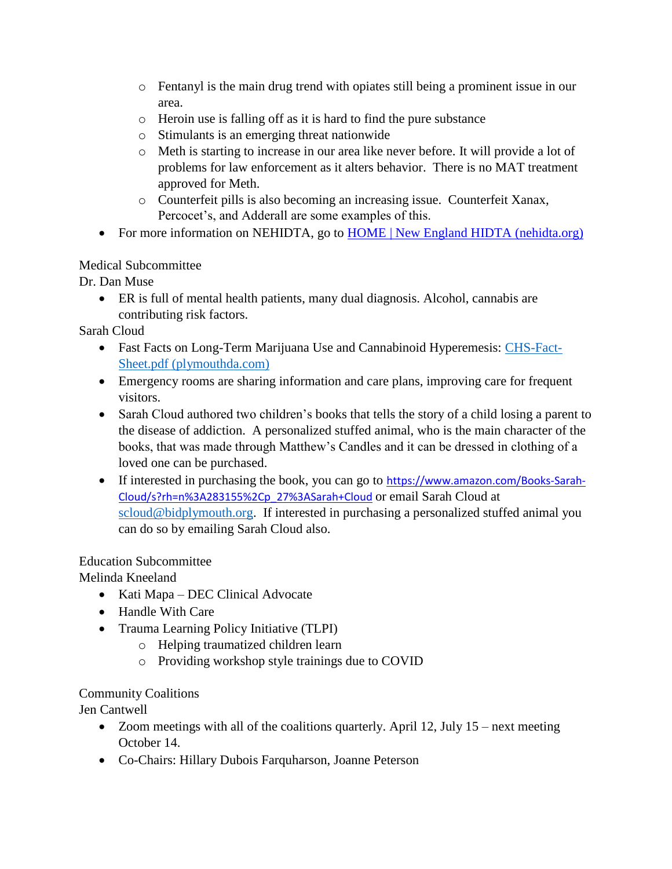- o Fentanyl is the main drug trend with opiates still being a prominent issue in our area.
- o Heroin use is falling off as it is hard to find the pure substance
- o Stimulants is an emerging threat nationwide
- o Meth is starting to increase in our area like never before. It will provide a lot of problems for law enforcement as it alters behavior. There is no MAT treatment approved for Meth.
- o Counterfeit pills is also becoming an increasing issue. Counterfeit Xanax, Percocet's, and Adderall are some examples of this.
- For more information on NEHIDTA, go to [HOME | New England HIDTA \(nehidta.org\)](https://www.nehidta.org/)

### Medical Subcommittee

Dr. Dan Muse

 ER is full of mental health patients, many dual diagnosis. Alcohol, cannabis are contributing risk factors.

Sarah Cloud

- Fast Facts on Long-Term Marijuana Use and Cannabinoid Hyperemesis: [CHS-Fact-](https://otf.plymouthda.com/wp-content/uploads/2019/12/CHS-Fact-Sheet.pdf)[Sheet.pdf \(plymouthda.com\)](https://otf.plymouthda.com/wp-content/uploads/2019/12/CHS-Fact-Sheet.pdf)
- Emergency rooms are sharing information and care plans, improving care for frequent visitors.
- Sarah Cloud authored two children's books that tells the story of a child losing a parent to the disease of addiction. A personalized stuffed animal, who is the main character of the books, that was made through Matthew's Candles and it can be dressed in clothing of a loved one can be purchased.
- If interested in purchasing the book, you can go to [https://www.amazon.com/Books-Sarah-](https://www.amazon.com/Books-Sarah-Cloud/s?rh=n%3A283155%2Cp_27%3ASarah+Cloud)[Cloud/s?rh=n%3A283155%2Cp\\_27%3ASarah+Cloud](https://www.amazon.com/Books-Sarah-Cloud/s?rh=n%3A283155%2Cp_27%3ASarah+Cloud) or email Sarah Cloud at [scloud@bidplymouth.org.](mailto:scloud@bidplymouth.org) If interested in purchasing a personalized stuffed animal you can do so by emailing Sarah Cloud also.

# Education Subcommittee

Melinda Kneeland

- Kati Mapa DEC Clinical Advocate
- Handle With Care
- Trauma Learning Policy Initiative (TLPI)
	- o Helping traumatized children learn
	- o Providing workshop style trainings due to COVID

# Community Coalitions

Jen Cantwell

- $\bullet$  Zoom meetings with all of the coalitions quarterly. April 12, July 15 next meeting October 14.
- Co-Chairs: Hillary Dubois Farquharson, Joanne Peterson